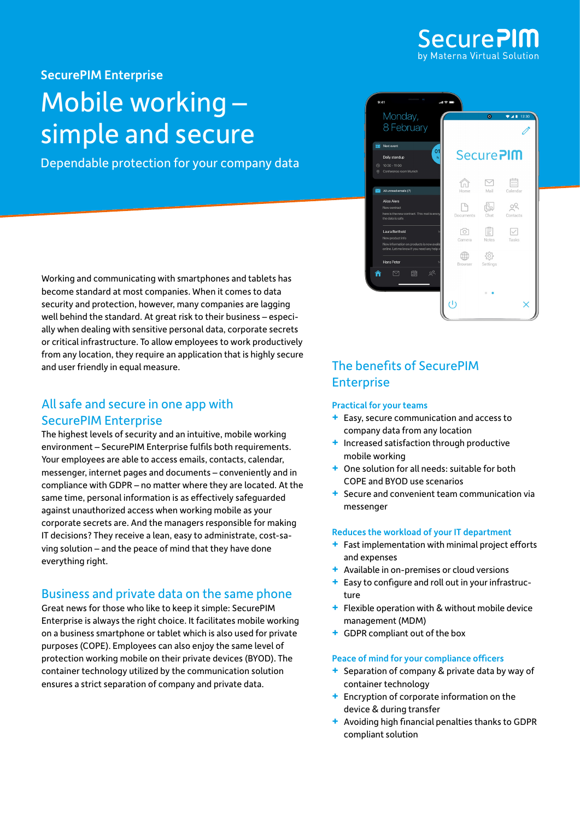

SecurePIM Enterprise

## Mobile working – simple and secure

Dependable protection for your company data



Working and communicating with smartphones and tablets has become standard at most companies. When it comes to data security and protection, however, many companies are lagging well behind the standard. At great risk to their business – especially when dealing with sensitive personal data, corporate secrets or critical infrastructure. To allow employees to work productively from any location, they require an application that is highly secure and user friendly in equal measure.

## All safe and secure in one app with SecurePIM Enterprise

The highest levels of security and an intuitive, mobile working environment – SecurePIM Enterprise fulfils both requirements. Your employees are able to access emails, contacts, calendar, messenger, internet pages and documents – conveniently and in compliance with GDPR – no matter where they are located. At the same time, personal information is as effectively safeguarded against unauthorized access when working mobile as your corporate secrets are. And the managers responsible for making IT decisions? They receive a lean, easy to administrate, cost-saving solution – and the peace of mind that they have done everything right.

## Business and private data on the same phone

Great news for those who like to keep it simple: SecurePIM Enterprise is always the right choice. It facilitates mobile working on a business smartphone or tablet which is also used for private purposes (COPE). Employees can also enjoy the same level of protection working mobile on their private devices (BYOD). The container technology utilized by the communication solution ensures a strict separation of company and private data.

## The benefits of SecurePIM **Enterprise**

### Practical for your teams

- **+** Easy, secure communication and access to company data from any location
- **+** Increased satisfaction through productive mobile working
- **+** One solution for all needs: suitable for both COPE and BYOD use scenarios
- **+** Secure and convenient team communication via messenger

### Reduces the workload of your IT department

- **+** Fast implementation with minimal project efforts and expenses
- **+** Available in on-premises or cloud versions
- **+** Easy to configure and roll out in your infrastructure
- **+** Flexible operation with & without mobile device management (MDM)
- **+** GDPR compliant out of the box

### Peace of mind for your compliance officers

- **+** Separation of company & private data by way of container technology
- **+** Encryption of corporate information on the device & during transfer
- **+** Avoiding high financial penalties thanks to GDPR compliant solution